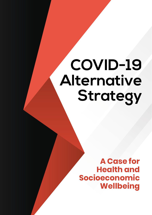# **COVID-19 Alternative Strategy**

**A Case for Health and Socioeconomic Wellbeing**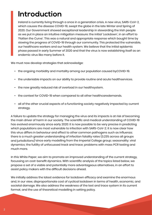# **Introduction**

Ireland is currently living through a once in a generation crisis. A new virus, SARS-CoV-2, which causes the disease COVID-19, swept the globe in the late Winter and Spring of 2020. Our Government showed exceptional leadership in stewarding the Irish people as we put in place an intuitive mitigation measure: the initial 'Lockdown', in an effort to 'Flatten the Curve'. This was a natural and appropriate response which bought time by slowing the progress of COVID-19 through our community. This protected the vulnerable, our healthcare workers and our health system. We believe that the initial epidemic phase passed in early Summer of 2020 and that the virus is now establishing itself as an endemic virus like many before it.

We must now develop strategies that acknowledge:

- the ongoing morbidity and mortality among our population caused byCOVID-19.
- the undeniable impacts on our ability to provide routine and acute healthservices.
- the now greatly reduced risk of overload in our healthsystem.
- the context for COVID-19 when compared to all other healthcaredemands.
- all of the other crucial aspects of a functioning society negatively impacted by current strategy.

A failure to update the strategy for managing the virus and its impacts is at risk of becoming the main driver of harm in our society. The scientific and medical understanding of COVID-19 has evolved enormously since early 2020: it is now possible to be very precise in predicting which populations are most vulnerable to infection with SARS-CoV-2; it is now clear how this virus differs in behaviour and effect to other common pathogens such as Influenza; there is a much greater understanding of infection fatality rates (0.23% across all groups and jurisdictions)<sup>1</sup> since early modelling from the Imperial College group; seasonality; viral dynamics; the futility of unfocussed track and trace; problems with mass PCR testing and much more.

In this White Paper, we aim to promote an improved understanding of the current strategy, focussing on cost-benefit dynamics. With scientific analysis of the topics listed below, we propose a set of a viable and potentially more advantageous alternatives, in an effort to assist policy makers with the difficult decisions ahead.

We initially address the latest evidence for lockdown efficacy and examine the enormous and, in our view, disproportionate cost of cyclical lockdown in terms of health, economic, and societal damage. We also address the weakness of the test and trace system in its current format, and the use of theoretical modelling in setting policy.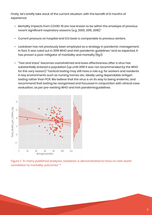Firstly, let's briefly take stock of the current situation, with the benefit of 8 months of experience:

- Mortality impacts from COVID-19 are now known to be within the envelope of previous recent significant respiratory seasons (e.g. 2000, 2015, 2018).<sup>2</sup>
- Current pressure on hospital and ICU beds is comparable to previous winters. Current pressure on hospital and ICU beds is comparable to previous winters.
- $\bm{\cdot}$  Lockdown has not previously been employed as a strategy in pandemic management, in fact, it was ruled out in 2019 WHO and Irish pandemic guidelines,<sup>3</sup> and as expected, it has proven a poor mitigator of morbidity and mortality (fig.1).
- $\bullet$  "Test and trace" becomes overwhelmed and loses effectiveness after a virus has as testing that the population (up until 2019 it was not recommended by the WHO substantially entered a population (up until 2019 it was not recommended by the WHO for this very reason).<sup>3</sup> Tactical testing may still have a role e.g. for workers and residents in key environments such as nursing homes etc, ideally using dependable antigen testing rather than PCR. We believe that the virus is on its way to being endemic, and  $\epsilon$ recommend that testing be reorganised and focussed in conjunction with clinical case evaluation, as per pre-existing WHO and Irish pandemicguidelines. and residents in pep such a such as nursing the such as nursing homes etc. in the such as nursing  $\alpha$ dependence and reduced that the virus is one of the virus is one of the virus is on its way to the virus is on  $\frac{1}{2}$  being endemicially such that that testing be recorded and focus second  $\frac{1}{2}$



Figure 1: "In many published analyses, lockdown is demonstrated to have no real-world correlation to mortality outcomes" 10

outcomes. A recent paper in *The Lancet* showed no correlation between lockdown measures and mortality outcomes: *"Rapid border closures, full lockdowns, and widespread testing were not associated with COVID-19 mortality per million people"*.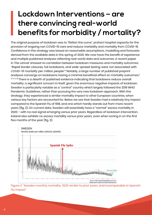# **Lockdown Interventions – are there convincing real-world benefits for morbidity / mortality?**

The original purpose of lockdown was to "flatten the curve", protect hospital capacity for the provision of ongoing non COVID-19 care and reduce morbidity and mortality from COVID-19. Confidence in this strategy was based on reasonable assumptions, modelling and forecasts derived from the available data in the spring of 2020. We now have the benefit of experience and multiple published analyses reflecting real-world data and outcomes. A recent paper in *The Lancet* showed no correlation between lockdown measures and mortality outcomes: *"Rapid border closures, full lockdowns, and wide-spread testing were not associated with COVID-19 mortality per million people"*. 4 Notably, a large number of published preprint analyses converge on lockdowns having a minimal beneficial effect on mortality outcomes.5 and, the ferming expressive indicating and anonymortal effect on mortality experiments. mortality; a significant concern in itself, given the enormous negative impacts of lockdown. Sweden is particularly notable as a "control" country which largely followed the 2019 WHO Pandemic Guidelines, rather than pursuing the very new lockdown approach. With this strategy, they experienced a similar mortality impact to other European countries, when various key factors are accounted for. Below we see that Sweden had a relatively tiny impact compared to the Spanish Flu of 1918, and one which hardly stands out from more recent years (fig. 2*).* On current data, Sweden will essentially have a "normal" excess mortality in 2020 – with no real signal emerging versus prior years. Regardless of lockdown intervention, Ireland also exhibits no excess mortality versus prior years, even when zoning in on the first five months of the year (fig. 3). given the end the end of the entriesting in the end of the end of an inpact of the end of the superior of the<br>Mon is particularly notable as a "control" country which largely followed the 2010 WHO enis per nomen, notendo de en ournal or bountry which lengory followed the 2010 WHO Pandemic Guidelines, rather than pursuing the very new lockdown approach. With this strategy, they experienced a similar strategy and similar s egy, they experienced a similar mortality impact to other european countries, when



Figure 2: "Sweden monthly mortality: 2020 similar to prior years, and incomparable to Spanish *Figure 2: "Sweden monthly mortality: 2020 similar to prior years, and incomparable to Spanish Flu*  Flu impact" *impact"*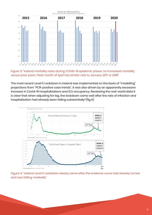

Figure 3: "Ireland mortality rates during COVID-19 epidemic phase: no increased mortality versus prior years. Peak month of April has similar rate to January 2017 or 2018" *Figure 3: "Ireland mortality rates during COVID-19 epidemic phase: no increased mortality versus* 

The most recent Level 5 Lockdown in Ireland was implemented on the basis of "modelling" *Peak month of April has similar rate to January 2017 or 2018"* projections from "PCR-positive case trends". It was also driven by an apparently excessive .<br>increase in Covid-19 hospitalizations and ICU occupancy. Reviewing the real-world data it is clear that when adjusting for lag, the lockdown came well after the rate of infection and hospitalization had already been falling substantially"(fig.4). part in the case trends for promotions from the case trends and appear to the case that we have a finite of infection and  $i$  characterizations adjacently for large, and identically the real-world data indicated on innocendri data it.



Figure 4: "Ireland Level 5 Lockdown clearly came after the endemic curve had already turned *Figure 4: "Ireland Level 5 Lockdown clearly came after the endemic curve had already turned and*  and was falling markedly" *was falling markedly"*

before the level 5 lockdown was imposed. In essence, the numbers are not out of step with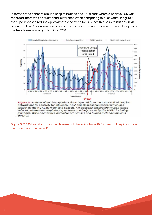In terms of the concern around hospitalizations and ICU trends where a positive PCR was recorded, there was no substantial difference when comparing to prior years. In figure 5, the superimposed red line approximates the trend for PCR-positive hospitalizations in 2020 before the level 5 lockdown was imposed. In essence, the numbers are not out of step with the trends seen coming into winter 2018.



Figure 5: "2020 hospitalization trends were not dissimilar from 2018 influenza hospitalisation trends in the same period"

to predict the effects in the years to come. An April report from the UK ONS indicated with  $U$ 

that it will far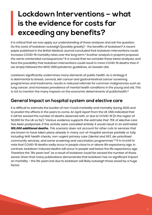# **Lockdown Interventions – what is the evidence for costs far exceeding any benefits?**

It is critical that we now apply our understanding of these analyses and ask the question: Do the costs of lockdown outweigh (possibly greatly) - the benefits of lockdown? A recent paper published in the British Medical Journal concluded that lockdown interventions could increase COVID-19 mortality rates over the long term.<sup>12</sup> Another analysis in preprint proposes the same unintended consequences.<sup>13</sup> It is crucial that we consider these latest analyses, and face the possibility that lockdown interventions could result in more COVID-19 deaths than if we simply followed the WHO 2019 pandemic guidelines, as Sweden did.

Lockdown significantly undermines many elements of public health. As a strategy it is detrimental to breast, cervical, skin cancer and gastrointestinal cancer screening programmes and treatments; results in reduced referrals for common malignancies such as lung cancer; and increases prevalence of mental health conditions in the young and old. This is not to mention the many impacts on the economic determinants of publichealth.<sup>14</sup>

### **General Impact on hospital system and elective care**

It is difficult to estimate the burden of non-Covid morbidity and mortality during 2020 and to predict the effects in the years to come. An April report from the UK ONS indicated that it will far exceed the number of deaths observed with, or due to COVID-19 (in the region of 50,000 for the UK so far): "*Various evidence supports the estimate that 75% of elective care has been postponed…If this activity were cancelled entirely it would result in an estimated 185,000 additional deaths. This scenario does not account for other cuts to services that are known to have taken place already in many out-of-hospital services partially or fully, including NHS health checks, non-urgent primary care (dental and GP), de-prioritised community services, and some screening and vaccination programmes"*. <sup>15</sup>It is crucial to note that COVID-19 deaths sadly occur in people close to *or above* life expectancy age. In contrast, lockdown-induced deaths will occur in people well below the life expectancy age. Therefore the "life years lost" as a result of lockdown could far exceed the number of those saved. Given that many publications demonstrate that lockdown has no significant impact on mortality – the life years lost due to lockdown will likely outweigh those saved by a huge factor.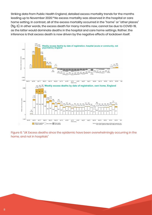Striking data from Public Health England, detailed excess mortality trends for the months Striking data from Public Health England, detailed excess mortality trends for the months leading up to November 2020.16 No excess mortality was observed in the hospital or care leading up to November 2020.<sup>16</sup> No excess mortality was observed in the hospital or care home setting. In contrast, all of the excess mortality occurred in the "home" or "other places" (fig. 6). In other words, the excess death for many months now, cannot be due to COVID-19,  $\sim$   $\sim$   $\sim$   $\sim$   $\sim$   $\sim$  . inference is that excess death is now driven by the negative effects of lockdown itself. rather, the individual death is now driven by the negative effects of leakdown itsell shoots that one



Figure 6: "UK Excess deaths since the epidemic have been overwhelmingly occurring in the home, and not in hospitals" *and not in hospitals"*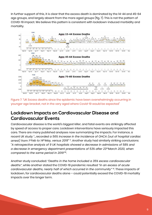In further support of this, it is clear that the excess death is dominated by the 14-44 and 45-64 In further support of this, it is clear that the excess death is dominated by the 14-44 and age groups, and largely absent from the more aged groups (fig. 7). This is not the pattern of COVID-19 impact. We believe this pattern is consistent with lockdown-induced morbidity and mortality.



Figure 7: "UK Excess deaths since the epidemic have been overwhelmingly occurring in younger age bracket, not in the very aged where Covid-19 would be expected"

#### Lockdown Impacts on Cardiovascular Disease and **Cardiovascular Events. There are many published analyses now summarizes now summarize the impacts. For instance, and** by speed of access to proper care. Lockdown interventions have seriously impacted this

Cardiovascular disease is the world's biggest killer, and fatal events are strikingly affected recent UK study *"…recorded a 56% increase in the incidence of OHCA (out of hospital*  by speed of access to proper care. Lockdown interventions have seriously impacted this care. There are many published analyses now summarizing the impacts. For instance, a *admissions of 58% and a decrease in emergency department presentations of 53% after*  recent UK study *"…recorded a 56% increase in the incidence of OHCA (out of hospital cardiac 23rd March 2020, when compared to the same period in 2019"* <sup>18</sup>*.* arrest*) from 1<sup>st</sup>Feb to 14<sup>th</sup>May, versus 2019" <sup>17</sup>. Another study had similarly striking conclusions:*  $\,$  a retrospective analysis of 9 UK hospitals showed a decrease in admissions of 58% and *a decrease in emergency department presentations of 53% after 23rdMarch 2020, when cardiovascular deaths, nearly half of which occurred in the community"* 19. These impacts of *compared to the same period in 2019"*<sup>8</sup>.  $\,$ *cardiac arrest) from 1st Feb to 14th May, versus 2019*" 17. Another study had similarly striking conclusions: "*A retrospective analysis of 9 UK hospitals showed a decrease in a retrospective analysis* of  $\mathbb{R}^n$ 

Another study concluded: *"Deaths in the home included a 35% excess cardiovascular*  deaths", while another stated the COVID-19 pandemic resulted "*in an excess of acute* cardiovascular deaths, nearly half of which occurred in the community" <sup>19</sup>. These impacts of lockdown, for cardiovascular deaths alone – could potentially exceed the COVID-19 mortality impacts over the longer term. *disruption of the cancer mortality range from 1,412 deaths for one month of assumed as a state from* 1,412 deaths for assumed to the case of assumed to the case of assumed as a state of assumed as a state of assumed as a *disruption to 9,280 deaths for six months of disruption"* 20. Cancer screening has also been

8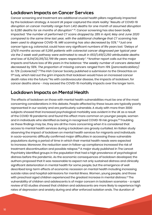### **Lockdown Impacts on Cancer Services**

Cancer screening and treatment are additional crucial health pillars negatively impacted by the lockdown strategy. A recent UK paper captured the stark reality: "*Results of* COVID-19 *disruption on cancer mortality range from 1,412 deaths for one month of assumed disruption to 9,280 deaths for six months of disruption"* 20. Cancer screening has also been badly impacted: *"the number of performed CT scans dropped by 28% in April, May and June 2020 compared to the same time last year, with the additional challenge that CT scanning has been used to diagnose* COVID-19*. MRI scanning has also decreased by 53%."* 21Just one cancer type e.g. colorectal, could have very significant numbers of life years lost: *"Delays of 2/4/6 months across all 11,266 patients with colorectal cancer diagnosed per typical year via the 2 week wait pathway were estimated to result in 653/1,419/2,250 attributable deaths and loss of 9,214/20,315/32,799 life years respectively"*. 22Another report calls out the major impacts and future loss of life years in the balance: *"the weekly number of cancers detected decreased by 58%. The proportion of missing cancers ranged from 19% (pancreaticobiliary) to 72% (colorectal)".*<sup>23</sup>The Irish Cancer Society published a submission to the Oireachtas on 17th July, which laid out the grim impacts that lockdown would have on increased cancer death rates into the future.<sup>24</sup>As with cardiovascular disease, the impacts of lockdown, for cancer deaths alone - may exceed the COVID-19 mortality impacts over the longer term.

### **Lockdown Impacts on Mental Health**

The effects of lockdown on those with mental health vulnerabilities must be one of the most concerning considerations in this debate. People affected by these issues are typically poorly represented in our society and are particularly vulnerable. A study with more than 3000 subjects showed that increased psychological morbidity was evident in the UK as a result of the COVID-19 pandemic and found this effect more common on younger people, women and in individuals who identified as being in recognised COVID-19 risk groups.25 Troubling as these findings may be, they are all the more concerning when it is considered that access to mental health services during a lockdown are grossly curtailed. An Italian study observing the impact of lockdown on mental health services for migrants and individuals in socio-economic difficulty confirmed major difficulties in accessing these vulnerable populations during a period of time in which their mental health needs were expected to increase. Moreover, the reduction seen in follow-up compliance increased the risk of treatment discontinuation and possible relapse.26 A major study published in The Lancet Psychiatry identified groups in the population that had a high prevalence of psychological distress before the pandemic. As the economic consequences of lockdown developed, the authors proposed that it was reasonable to expect not only sustained distress and clinically significant deterioration in mental health for some people, but the emergence of well described long-term effects of economic recession on mental health including increasing suicide rates and hospital admissions for mental illness. Women, young people, and those with preschool aged children experienced the greatest increase in mental distress.<sup>27</sup> The vulnerability of children and adolescents is of major concern in lockdown scenarios - a rapid review of 63 studies showed that children and adolescents are more likely to experience high rates of depression and anxiety during and after enforced isolation ends. The duration of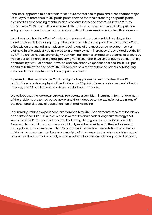loneliness appeared to be a predictor of future mental health problems.<sup>28</sup>Yet another major UK study with more than 12,000 participants showed that the percentage of participants classified as experiencing mental health problems increased from 23.3% in 2017-2019 to 36.8% in April 2020. In a multivariate mixed effects logistic regression model all population subgroups examined showed statistically significant increases in mental healthproblems.<sup>29</sup>

Lockdown also has the effect of making the poor and most vulnerable in society suffer inordinately while increasing the gap between the rich and the poor. The destructive effects of lockdown are myriad, unemployment being one of the most corrosive outcomes. For example, in one study a 1-point increase in unemployment increased drug-related deaths by 3.3%.30 The United Nations University WIDER Working Paper estimated an outcome of a 400-600 million persons increase in global poverty given a scenario in which per capita consumption contracts by 20%.31 For context, New Zealand has already experienced a decline in GDP per capita of 12.6% by the end of q2 2020.<sup>32</sup> There are now many published papers cataloguing these and other negative effects on population health.

A perusal of the website https://collateralglobal.org/ presents links to no less than 25 publications on adverse physical health impacts, 23 publications on adverse mental health impacts, and 29 publications on adverse social health impacts.

We believe that the lockdown strategy represents a very blunt instrument for management of the problems presented by COVID-19, and that it does so to the exclusion of too many of the other crucial facets of population health and wellbeing.

In summary, Ireland's experience from March to May 2020 has demonstrated that lockdown can 'flatten the COVID-19 curve'. We believe that Ireland needs a long term strategy that *keeps* the COVID-19 curve flattened, while allowing life to go on as *normally* as possible. Reversion to the lockdown strategy should only ever be considered in the unlikely event that updated strategies have failed. For example, if respiratory presentations re-enter an epidemic phase where numbers are a multiple of those expected or where such increased patient numbers cannot be safely accommodated by a system with augmented capacity.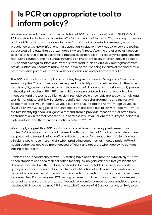# **Is PCR an appropriate tool to inform policy?**

We are concerned about the implementation of PCR as the standard test for SARS-CoV-2. PCR has standard false-positive rates of 1 - 3%<sup>33</sup> and up to 4% in the UK.<sup>34</sup> Suggesting that every positive PCR result constitutes an infectious "case", is not accurate. For example, when the prevalence of COVID-19 infections in a population is relatively low - say 2% or so - the testing output would indicate that approximately 5% were "infected". As the prevalence of infection declines, this ratio of false positives to true positives increases. This clearly misrepresents the real-world situation, and has undue influence on important policy interventions. In addition, PCR cannot distinguish infectious live virus from residual dead virus or viral fragments from previous infection. Therefore many "cases" have no real meaning in terms of medical status or transmission potential – further misleading clinicians and policymakers alike.

The PCR test functions by amplification of tiny fragments of virus - "magnifying" them in a series of cycles. The number of cycles required to identify viral genetic material – the cycle threshold (Ct), correlates inversely with the amount of viral genetic material actually present in the original specimen.<sup>35 36 37 38</sup> If there is little virus present, (probably not enough to be infectious) and the test has a high cycle threshold (cycle thresholds are set by the individual test kit manufacturers), it will probably identify harmless viral fragments and the test will be deemed "positive". In Ireland, Ct value cut-offs of 35-45 are the norm.<sup>33 39</sup> High Ct values (over 35 or even 30) suggest a non- infectious patient, often due to low viral load 35 36 37 38 40 (or the test identifying dead viral genetic material from a previous infection 33,34, or often from contamination in the test process<sup>4142</sup>). In contrast, low Ct values are more likely to indicate a high viral load, and therefore an infectious patient. 43 36 37 44

We strongly suggest that PCR results are not considered in a binary positive/negative context.<sup>45</sup>Clinical interpretation of the result, with the context of Ct values, would determine the potential to transmit infection<sup>46</sup>, or indicate the need for a repeat test  $47,40$ . By this means, clinicians would have more insight when predicting outcomes for infected patients<sup>44</sup> and health authorities could be more focused, efficient and accurate when deploying contact tracing resources<sup>45</sup>.

Problems and inconsistencies with PCR testing have been documented extensively 48 33 41 42 49 50 : non standardised specimen collection techniques; no gold standard test yet identified; different tests used in different labs; no standardised acceptable Ct values; inconsistent quality assurance programs; false positives; identification of irrelevant dead viral genetic material which can persist for months after infection; potential contamination of specimens, to name a few. Poorly designed PCR testing regimes can drive cases in infectious disease outbreaks and several reports exist of "pseudo" epidemics caused by over sensitive or poorly regulated PCR testing regimes 41 42. Patients with Ct values of >35 are extremely unlikely to be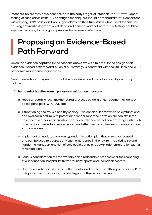infectious unless they have been tested in the early stages of infection<sup>35 36 37 38 33 46 47 40</sup>. Repeat testing of such cases (with PCR or antigen techniques) should be standard.<sup>40 30 36</sup> is consistent with existing HPSC policy, and would give clarity on their true status while use of techniques causing enzymatic degradation of dead viral genetic material, before PCR testing, could be explored as a way to distinguish previous from current infections.<sup>51</sup>

# **Proposing an Evidence-Based Path Forward**

Given the evidence captured in the sections above, we wish to assist in the design of an evidence- based path forward. Much of our strategy is consistent with the 2019 Irish and WHO pandemic management guidelines.

Several essential strategies that should be considered and are advocated by our group include:

#### **1. Removal of hard lockdown policy as a mitigation measure**

- a. Focus on established, time-honoured pre-2020 epidemic management evidencebased principles (WHO, 2019 etc.)
- b. A functioning society is a healthy society we consider lockdown to be dysfunctional and cyclical in nature with potential to render repeated harm on our society in the absence of a credible alternative approach. Reliance on lockdown strategy until such time as a vaccine is fully implemented and effective, would be unsustainable and an error in ourview.
- c. Implement an updated epidemic/pandemic action plan that is Ireland-focused, and can be used to address any such emergency in the future. The existing Ireland Pandemic Management Plan of 2019 could act as a ready-made template for such a reworked plan.
- d. Serious consideration of safe, workable and reasonable proposals for the reopening of our education; hospitality; travel; tourism; sports and recreation sectors.
- e. Commensurate consideration of the mental and physical health impacts of COVID-19 mitigation measures so far, and strategies for their management.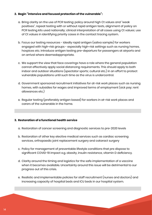#### **2. Begin "intensive and focused protection of the vulnerable":**

- a. Bring clarity on the use of PCR testing: policy around high Ct values and "weak positives", repeat testing with or without rapid antigen tests, alignment of policy on PCR testing kits used nationally; clinical interpretation of all cases using Ct values; use of Ct values in identifying priority cases in the contact tracing system.
- b. Focus our testing resources ideally rapid antigen (saliva sample) for workers engaged with high-risk groups - especially high-risk settings such as nursing homes, hospices etc. Introduce antigen testing pre-departure for passengers at airports and on arrival where deemedappropriate.
- c. We support the view that face coverings have a role where the general population cannot effectively apply social distancing requirements. This should apply to both indoor and outdoor situations (spectator sports; cultural etc.) in an effort to protect vulnerable populations until such time as the virus is undercontrol.
- d. Government sponsored recruitment initiatives for at-risk work places such as nursing homes, with subsidies for wages and improved terms of employment (sick pay; rent allowances etc.)
- e. Regular testing (preferably antigen based) for workers in at-risk work places and carers of the vulnerable in the home.

#### **3. Restoration of a functional health service**

- a. Restoration of cancer screening and diagnostic services to pre-2020 levels
- b. Restoration of other key elective medical services such as cardiac screening services, orthopaedic joint replacement surgery and cataract surgery
- c. Policy for management of preventable lifestyle conditions that pre dispose to significant COVID-19 impact e.g. obesity, insulin resistance, vitamin D deficiency.
- d. Clarity around the timing and logistics for the safe implementation of a vaccine when it becomes available. Uncertainty around this issue will be detrimental to our progress out of this crisis.
- e. Realistic and implementable policies for staff recruitment (nurses and doctors) and increasing capacity of hospital beds and ICU beds in our hospital system.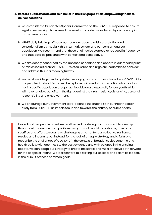#### **4. Restore public morale and self-belief in the Irish population, empowering them to deliver solutions**

- a. Re-establish the Oireachtas Special Committee on the COVID-19 response, to ensure legislative oversight for some of the most critical decisions faced by our country in many generations.
- b. NPHET daily briefings of 'case' numbers are open to misinterpretation and sensationalism by media – this in turn drives fear and concern among our population. We recommend that these briefings be stopped or reduced in frequency and that data be presented with context and perspective.
- c. We are deeply concerned by the absence of balance and debate in our media (print; tv; radio; social) around COVID-19 related issues and urge our leadership to consider and address this in a meaningful way.
- d. We must work together to update messaging and communication about COVID-19 to the people of Ireland: fear must be replaced with realistic information about actual risk in specific population groups; achievable goals, especially for our youth, which will have tangible benefits in the fight against the virus: hygiene; distancing; personal responsibility and empowerment.
- e. We encourage our Government to re-balance the emphasis in our health sector away from COVID-19 as its sole focus and towards the entirety of public health.

Ireland and her people have been well served by strong and consistent leadership throughout this unique and quickly evolving crisis. It would be a shame, after all our sacrifice and effort, to recall this challenging time not for our collective resilience, resolve and ingenuity but instead, for the lack of an agile strategy and a failure to recognize the challenges of COVID-19 in the context of broader socioeconomic and health policy. With openness to the best evidence and with balance in the ensuing debate, we can adapt our strategy to create the safest and most effective path forward for the people of Ireland. We look forward to assisting our political and scientific leaders in the pursuit of these common goals.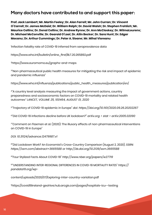### **Many doctors have contributed to and support this paper:**

**Prof. Jack Lambert; Mr. Martin Feeley; Dr. Alan Farrell; Mr. John Curran; Dr. Vincent O'Carroll; Dr. James McDaid; Dr. William Ralph; Dr. David Walsh; Dr. Stephen Frohlich; Mr. Maurice Collins; Dr. Donal Collins; Dr. Andrew Rynne; Dr. Ann McCloskey; Dr. WilmaLourens; Dr. Michael McConville; Dr. Gearoid O'Laoi; Dr. Ailin Becker; Dr. Sara Hunt; Dr. Edgar Mocanu; Dr. Arthur Cummings; Dr. Peter A. Sloane; Mr. Mihai Vioreanu**

1 Infection fatality rate of COVID-19 inferred from seroprevalence data

https://www.who.int/bulletin/online\_first/BLT.20.265892.pdf

2 https://www.euromomo.eu/graphs-and-maps

<sup>3"</sup>Non-pharmaceutical public health measures for mitigating the risk and impact of epidemic and pandemic influenza"

https://www.who.int/influenza/publications/public\_health\_measures/publication/en/

4"A country level analysis measuring the impact of government actions, country preparedness and socioeconomic factors on COVID-19 mortality and related health outcomes*" LANCET, VOLUME 25, 100464, AUGUST 01, 2020*

<sup>5</sup>"Trajectory of COVID-19 epidemic in Europe" *doi: https://doi.org/10.1101/2020.09.26.20202267*

<sup>6</sup>"Did COVID-19 infections decline before UK lockdown?" *arXiv.org > stat > arXiv:2005.02090*

7 "Comment on Flaxman et al. (2020): The illusory effects of non-pharmaceutical interventions on COVID-19 in Europe"

*DOI: 10.31124/advance.12479987.v1*

8"Did Lockdown Work? An Economist's Cross-Country Comparison (August 2, 2020). *SSRN: https://ssrn.com/abstract=3665588 or http://dx.doi.org/10.2139/ssrn.3665588*

<sup>9</sup>"Four Stylized Facts About COVID-19" *http://www.nber.org/papers/w27719*

10"UNDERSTANDING INTER-REGIONAL DIFFERENCES IN COVID-19 MORTALITY RATES" *https:// pandata19.org/wp-*

content/uploads/2020/07/Exploring-inter-country-variation.pdf

11https://covid19ireland-geohive.hub.arcgis.com/pages/hospitals-icu--testing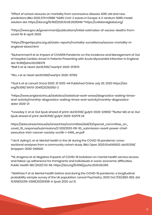<sup>12</sup>Effect of school closures on mortality from coronavirus disease 2019: old and new predictions BMJ 2020;371:m3588 <sup>13</sup>SARS-CoV-2 waves in Europe: A 2-stratum SEIRS model solution doi: https://doi.org/10.1101/2020.10.09.20210146 14https://collateralglobal.org/

15https://www.gov.uk/government/publications/initial-estimates-of-excess-deaths-fromcovid-19-8-april-2020

<sup>16</sup>https://fingertips.phe.org.uk/static-reports/mortality-surveillance/excess-mortality-inengland-latest.html

<sup>17</sup>Muhammad R et al. Impact of COVID19 Pandemic on the Incidence and Management of Out of Hospital Cardiac Arrest in Patients Presenting with Acute Myocardial Infarction in England. doi: 10.1161/jaha.120.018379 18Ball S et al. Heart doi:10.1136/ heartjnl-2020-317870

19Wu J et al. Heart doi:10.1136/heartjnl-2020-317912

 $20$ Sud A et al. Lancet Oncol 2020; 21: 1035-44 Published Online July 20, 2020 https://doi. org/10.1016/ S1470-2045(20)30392-2

21https://www.england.nhs.uk/statistics/statistical-work-areas/diagnostics-waiting-timesand-activity/monthly-diagnostics-waiting-times-and-activity/monthly-diagnosticsdata-2020-21

 $22$ Loveday C et al. Gut Epub ahead of print: doi:10.1136/gutjnl-2020-321650  $23$ Rutter MD et al. Gut Epub ahead of print: doi:10.1136/ gutjnl-2020-322179 24

https://data.oireachtas.ie/ie/oireachtas/committee/dail/33/special\_committee\_on\_ covid\_19\_response/submissions/2 020/2020-09-30\_submission-averil-power-chiefexecutive-irish-cancer-society-scc19r-r-0419\_en.pdf

25Jia R, Ayling K, et al. Mental health in the UK during the COVID-19 pandemic: crosssectional analyses from a community cohort study. BMJ Open 2020;10:e040620. doi:10.1136/ bmjopen-2020-040620

<sup>26</sup>M. Aragona et al. Negative impacts of COVID-19 lockdown on mental health service access and follow-up adherence for immigrants and individuals in socio-economic difficulties. Public Health 186 (2020) 52-56. https://doi.org/10.1016/j.puhe.2020.06.055

27Matthias P et al. Mental health before and during the COVID-19 pandemic: a longitudinal probability sample survey of the UK population. Lancet Psychiatry. 2020 Oct;7(10):883-892. doi: 10.1016/S2215-0366(20)30308-4. Epub 2020 Jul 21.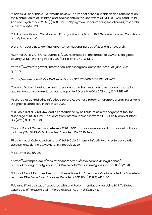<sup>28</sup>Loades ME et al. Rapid Systematic Review: The Impact of Social Isolation and Loneliness on the Mental Health of Children and Adolescents in the Context of COVID-19. J Am Acad Child Adolesc Psychiatry 2020;59(11):1218–1239. 29https://www.understandingsociety.ac.uk/research/ publications/526124

30Hollingsworth, Alex, Christopher J Ruhm, and Kosali Simon. 2017. "Macroeconomic Conditions and Opioid Abuse."

Working Paper 23192. Working Paper Series. National Bureau of Economic Research.

<sup>31</sup>Sumner, A., Hoy, C. & Ortiz-Juarez, E. (2020) Estimates of the impact of COVID-19 on global poverty. WIDER Working Paper 2020/43. Helsinki: UNU-WIDER.

<sup>32</sup>https://www.stats.govt.nz/information-releases/gross-domestic-product-june-2020 quarter

<sup>33</sup>*https://twitter.com/CillianDeGascun/status/1305250887246458880?s=20*

<sup>34</sup>Loozen, G et al. Live/dead real-time polymerase chain reaction to assess new therapies against dental plaque-related pathologies. *Mol Oral Microbiol 2011 Aug;26(4):253-61.*

35Bullard J et al. Predicting Infectious Severe Acute Respiratory Syndrome Coronavirus 2 From. Diagnostic Samples Clin Infect Dis 2020.

36La Scola B et al. Viral RNA load as determined by cell culture as a management tool for discharge of SARS-CoV-2 patients from infectious disease wards. Eur J Clin Microbiol Infect Dis (2020) 39:1059–1061

<sup>37</sup> Jaafar R et al. Correlation between 3790 qPCR positives samples and positive cell cultures including 1941 SARS-CoV-2 isolates. Clin Infect Dis 2020 Sep

<sup>38</sup>Basile K et al. Cell-based culture of SARS-CoV-2 informs infectivity and safe de-isolation assessments during COVID-19. Clin Infect Dis 2020.

39HSE Letter 02/10/2020

<sup>40</sup>https://www.hpsc.ie/a-z/respiratory/coronavirus/novelcoronavirus/guidance/ outbreakmanagementguidance/PCR%20weak%20results%20gui dance.pdf 08/10/2020

41Mandal S et al. Pertussis Pseudo-outbreak Linked to Specimens Contaminated by Bordetella pertussis DNA From Clinic Surfaces. Pediatrics 2012 (Feb);129(2):e424-30.

42Lievano FA et al. Issues Associated with and Recommendations for Using PCR To Detect Outbreaks of Pertussis. J Clin Microbiol 2002 (Aug); 40(8): 2801-5.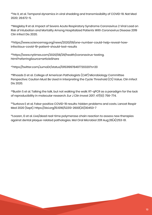43He X, et al. Temporal dynamics in viral shedding and transmissibility of COVID-19. Nat Med 2020; 26:672–5.

44Magleby R et al. Impact of Severe Acute Respiratory Syndrome Coronavirus 2 Viral Load on Risk of Intubation and Mortality Among Hospitalized Patients With Coronavirus Disease 2019 Clin Infect Dis 2020.

45https://www.sciencemag.org/news/2020/09/one-number-could-help-reveal-howinfectious-covid-19-patient-should-test-results

<sup>46</sup>https://www.nytimes.com/2020/08/29/health/coronavirus-testing. html?referringSource=articleShare

<sup>47</sup>https://twitter.com/JumoDr/status/1315319978497720320?s=20

<sup>48</sup>Rhoads D et al. College of American Pathologists (CAP) Microbiology Committee Perspective: Caution Must Be Used in Interpreting the Cycle Threshold (Ct) Value. Clin Infect Dis 2020.

49Bustin S et al. Talking the talk, but not walking the walk: RT-qPCR as a paradigm for the lack of reproducibility in molecular research. Eur J Clin Invest 2017; 47(10): 756-774.

50Surkova E et al. False-positive COVID-19 results: hidden problems and costs. Lancet Respir Med 2020 (Sept). https://doi.org/10.1016/S2213-2600(20)30453-7

51Loozen, G et al. Live/dead real-time polymerase chain reaction to assess new therapies against dental plaque-related pathologies. Mol Oral Microbiol 2011 Aug;26(4):253-61.